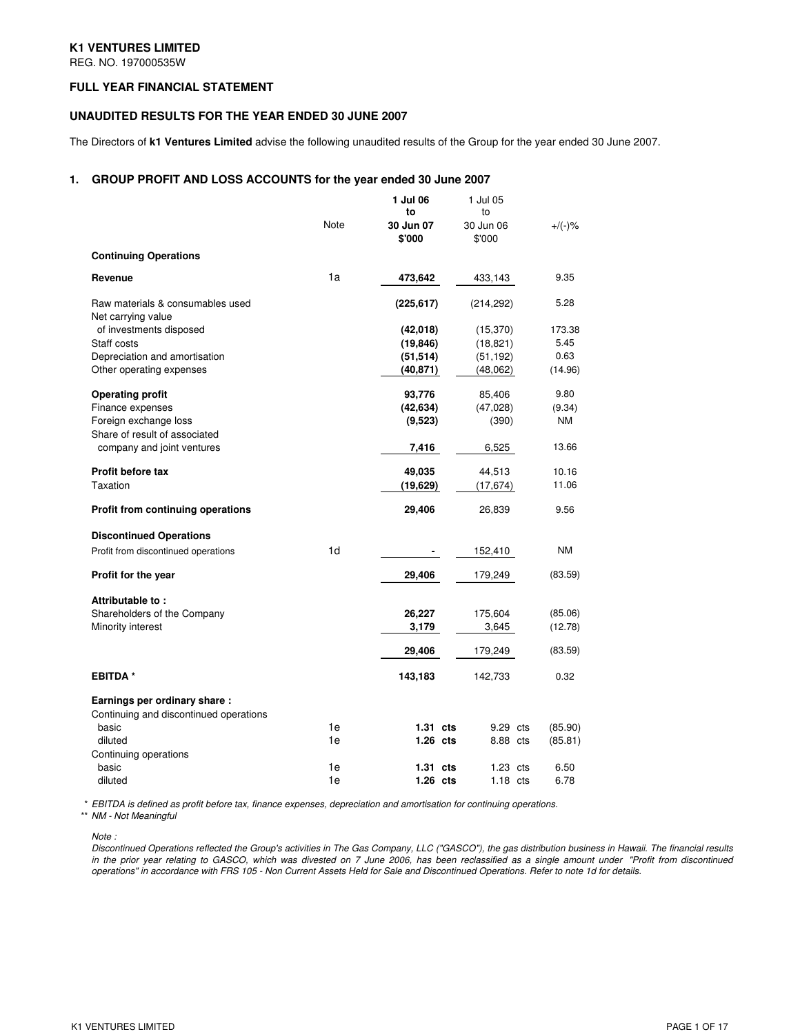## **K1 VENTURES LIMITED**

REG. NO. 197000535W

## **FULL YEAR FINANCIAL STATEMENT**

## **UNAUDITED RESULTS FOR THE YEAR ENDED 30 JUNE 2007**

The Directors of **k1 Ventures Limited** advise the following unaudited results of the Group for the year ended 30 June 2007.

## **1. GROUP PROFIT AND LOSS ACCOUNTS for the year ended 30 June 2007**

|                                                             |      | 1 Jul 06<br>to | 1 Jul 05<br>to    |           |
|-------------------------------------------------------------|------|----------------|-------------------|-----------|
|                                                             | Note | 30 Jun 07      | 30 Jun 06         | $+/(-)$ % |
|                                                             |      | \$'000         | \$'000            |           |
| <b>Continuing Operations</b>                                |      |                |                   |           |
| Revenue                                                     | 1a   | 473,642        | 433,143           | 9.35      |
| Raw materials & consumables used<br>Net carrying value      |      | (225, 617)     | (214, 292)        | 5.28      |
| of investments disposed                                     |      | (42,018)       | (15, 370)         | 173.38    |
| Staff costs                                                 |      | (19, 846)      | (18, 821)         | 5.45      |
| Depreciation and amortisation                               |      | (51, 514)      | (51, 192)         | 0.63      |
| Other operating expenses                                    |      | (40,871)       | (48,062)          | (14.96)   |
| <b>Operating profit</b>                                     |      | 93,776         | 85,406            | 9.80      |
| Finance expenses                                            |      | (42, 634)      | (47,028)          | (9.34)    |
| Foreign exchange loss                                       |      | (9,523)        | (390)             | ΝM        |
| Share of result of associated<br>company and joint ventures |      | 7,416          | 6,525             | 13.66     |
|                                                             |      |                |                   |           |
| Profit before tax                                           |      | 49,035         | 44,513            | 10.16     |
| Taxation                                                    |      | (19,629)       | (17, 674)         | 11.06     |
| <b>Profit from continuing operations</b>                    |      | 29,406         | 26,839            | 9.56      |
| <b>Discontinued Operations</b>                              |      |                |                   |           |
| Profit from discontinued operations                         | 1d   |                | 152,410           | <b>NM</b> |
| Profit for the year                                         |      | 29,406         | 179,249           | (83.59)   |
| Attributable to:                                            |      |                |                   |           |
| Shareholders of the Company                                 |      | 26,227         | 175,604           | (85.06)   |
| Minority interest                                           |      | 3,179          | 3,645             | (12.78)   |
|                                                             |      | 29,406         | 179,249           | (83.59)   |
| <b>EBITDA*</b>                                              |      | 143,183        | 142,733           | 0.32      |
| Earnings per ordinary share:                                |      |                |                   |           |
| Continuing and discontinued operations                      |      |                |                   |           |
| basic                                                       | 1e   | $1.31$ cts     | 9.29 cts          | (85.90)   |
| diluted                                                     | 1e   | $1.26$ cts     | 8.88 cts          | (85.81)   |
| Continuing operations                                       | 1e   | $1.31$ cts     | 1.23              | 6.50      |
| basic<br>diluted                                            | 1e   | $1.26$ cts     | cts<br>$1.18$ cts | 6.78      |
|                                                             |      |                |                   |           |

\* EBITDA is defined as profit before tax, finance expenses, depreciation and amortisation for continuing operations.

\*\* NM - Not Meaningful

Note :

Discontinued Operations reflected the Group's activities in The Gas Company, LLC ("GASCO"), the gas distribution business in Hawaii. The financial results in the prior year relating to GASCO, which was divested on 7 June 2006, has been reclassified as a single amount under "Profit from discontinued operations" in accordance with FRS 105 - Non Current Assets Held for Sale and Discontinued Operations. Refer to note 1d for details.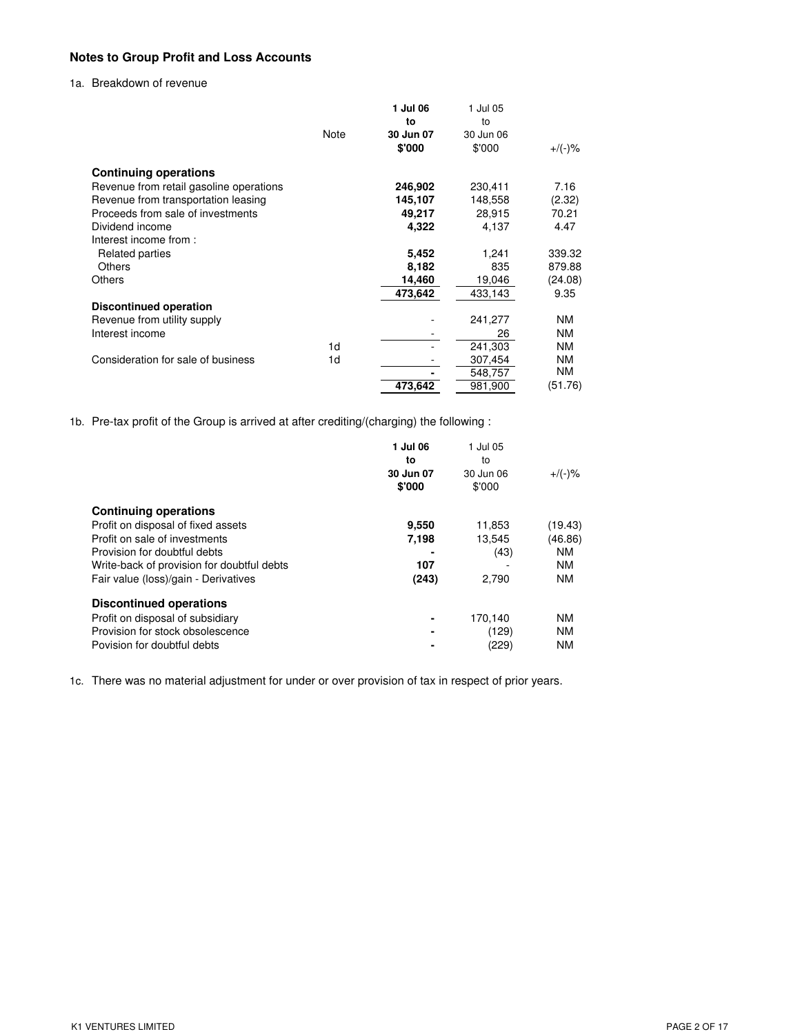# **Notes to Group Profit and Loss Accounts**

# 1a. Breakdown of revenue

|                                         |      | 1 Jul 06  | 1 Jul 05  |           |
|-----------------------------------------|------|-----------|-----------|-----------|
|                                         |      | to        | to        |           |
|                                         | Note | 30 Jun 07 | 30 Jun 06 |           |
|                                         |      | \$'000    | \$'000    | $+/(-)$ % |
| <b>Continuing operations</b>            |      |           |           |           |
| Revenue from retail gasoline operations |      | 246,902   | 230,411   | 7.16      |
| Revenue from transportation leasing     |      | 145,107   | 148,558   | (2.32)    |
| Proceeds from sale of investments       |      | 49,217    | 28,915    | 70.21     |
| Dividend income                         |      | 4,322     | 4,137     | 4.47      |
| Interest income from:                   |      |           |           |           |
| Related parties                         |      | 5,452     | 1,241     | 339.32    |
| Others                                  |      | 8,182     | 835       | 879.88    |
| <b>Others</b>                           |      | 14,460    | 19,046    | (24.08)   |
|                                         |      | 473,642   | 433,143   | 9.35      |
| <b>Discontinued operation</b>           |      |           |           |           |
| Revenue from utility supply             |      |           | 241,277   | NM        |
| Interest income                         |      |           | 26        | <b>NM</b> |
|                                         | 1d   |           | 241,303   | <b>NM</b> |
| Consideration for sale of business      | 1d   |           | 307,454   | NM        |
|                                         |      |           | 548,757   | NM        |
|                                         |      | 473,642   | 981,900   | (51.76)   |

1b. Pre-tax profit of the Group is arrived at after crediting/(charging) the following :

|                                            | 1 Jul 06<br>to<br>30 Jun 07<br>\$'000 | 1 Jul 05<br>to<br>30 Jun 06<br>\$'000 | $+$ /(-)% |
|--------------------------------------------|---------------------------------------|---------------------------------------|-----------|
| <b>Continuing operations</b>               |                                       |                                       |           |
| Profit on disposal of fixed assets         | 9,550                                 | 11,853                                | (19.43)   |
| Profit on sale of investments              | 7,198                                 | 13,545                                | (46.86)   |
| Provision for doubtful debts               |                                       | (43)                                  | <b>NM</b> |
| Write-back of provision for doubtful debts | 107                                   |                                       | <b>NM</b> |
| Fair value (loss)/gain - Derivatives       | (243)                                 | 2,790                                 | <b>NM</b> |
| <b>Discontinued operations</b>             |                                       |                                       |           |
| Profit on disposal of subsidiary           |                                       | 170,140                               | <b>NM</b> |
| Provision for stock obsolescence           |                                       | (129)                                 | <b>NM</b> |
| Povision for doubtful debts                |                                       | (229)                                 | <b>NM</b> |

1c. There was no material adjustment for under or over provision of tax in respect of prior years.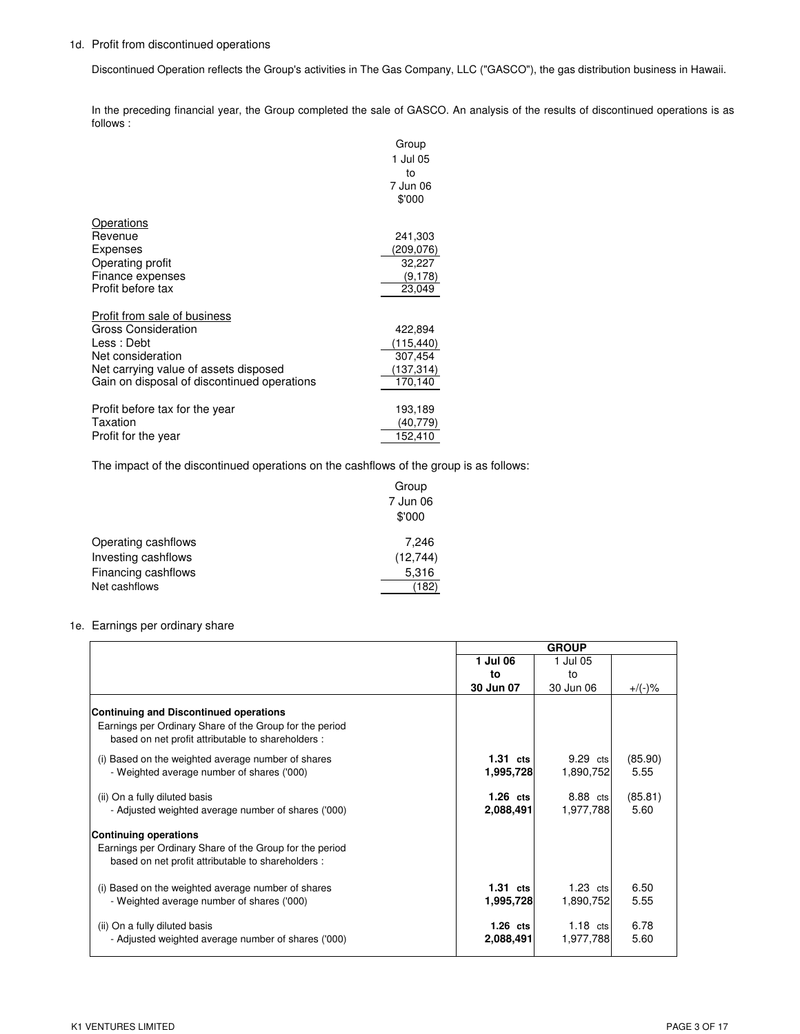## 1d. Profit from discontinued operations

Discontinued Operation reflects the Group's activities in The Gas Company, LLC ("GASCO"), the gas distribution business in Hawaii.

In the preceding financial year, the Group completed the sale of GASCO. An analysis of the results of discontinued operations is as follows :

|                                             | Group      |
|---------------------------------------------|------------|
|                                             | 1 Jul 05   |
|                                             | to         |
|                                             | 7 Jun 06   |
|                                             | \$'000     |
| Operations                                  |            |
| Revenue                                     | 241,303    |
| Expenses                                    | (209,076)  |
| Operating profit                            | 32,227     |
| Finance expenses                            | (9, 178)   |
| Profit before tax                           | 23,049     |
| Profit from sale of business                |            |
| Gross Consideration                         | 422,894    |
| Less: Debt                                  | (115,440)  |
| Net consideration                           | 307,454    |
| Net carrying value of assets disposed       | (137, 314) |
| Gain on disposal of discontinued operations | 170,140    |
|                                             |            |
| Profit before tax for the year              | 193,189    |
| Taxation                                    | (40,779)   |
| Profit for the year                         | 152,410    |

The impact of the discontinued operations on the cashflows of the group is as follows:

|                     | Group     |
|---------------------|-----------|
|                     | 7 Jun 06  |
|                     | \$'000    |
| Operating cashflows | 7,246     |
| Investing cashflows | (12, 744) |
| Financing cashflows | 5,316     |
| Net cashflows       | (182)     |

## 1e. Earnings per ordinary share

|                                                                                                                                                                |            | <b>GROUP</b> |           |
|----------------------------------------------------------------------------------------------------------------------------------------------------------------|------------|--------------|-----------|
|                                                                                                                                                                | 1 Jul 06   | 1 Jul 05     |           |
|                                                                                                                                                                | to         | t٥           |           |
|                                                                                                                                                                | 30 Jun 07  | 30 Jun 06    | $+/(-)$ % |
| <b>Continuing and Discontinued operations</b><br>Earnings per Ordinary Share of the Group for the period<br>based on net profit attributable to shareholders : |            |              |           |
| (i) Based on the weighted average number of shares                                                                                                             | $1.31$ cts | 9.29 cts     | (85.90)   |
| - Weighted average number of shares ('000)                                                                                                                     | 1,995,728  | 1,890,752    | 5.55      |
|                                                                                                                                                                |            |              |           |
| (ii) On a fully diluted basis                                                                                                                                  | $1.26$ cts | 8.88 cts     | (85.81)   |
| - Adjusted weighted average number of shares ('000)                                                                                                            | 2,088,491  | 1,977,788    | 5.60      |
|                                                                                                                                                                |            |              |           |
| <b>Continuing operations</b>                                                                                                                                   |            |              |           |
| Earnings per Ordinary Share of the Group for the period<br>based on net profit attributable to shareholders :                                                  |            |              |           |
| (i) Based on the weighted average number of shares                                                                                                             | $1.31$ cts | $1.23$ cts   | 6.50      |
| - Weighted average number of shares ('000)                                                                                                                     | 1,995,728  | 1,890,752    | 5.55      |
|                                                                                                                                                                |            |              |           |
| (ii) On a fully diluted basis                                                                                                                                  | $1.26$ cts | $1.18$ cts   | 6.78      |
| - Adjusted weighted average number of shares ('000)                                                                                                            | 2,088,491  | 1,977,788    | 5.60      |
|                                                                                                                                                                |            |              |           |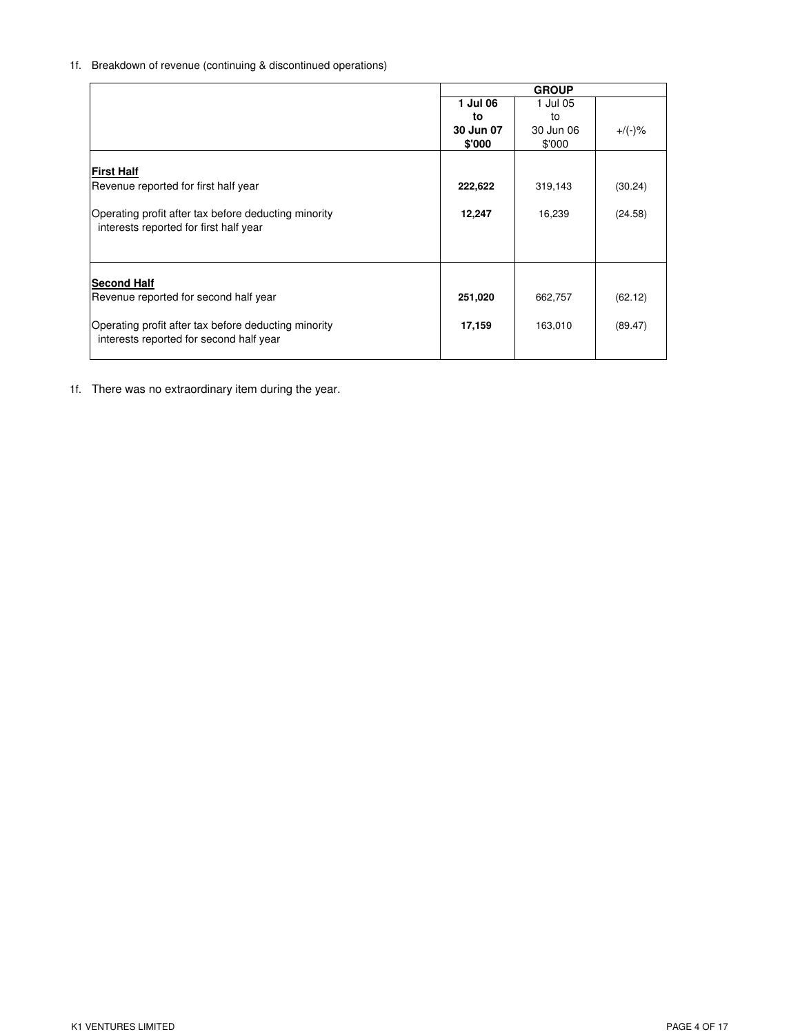# 1f. Breakdown of revenue (continuing & discontinued operations)

|                                                      |           | <b>GROUP</b> |           |
|------------------------------------------------------|-----------|--------------|-----------|
|                                                      | 1 Jul 06  | 1 Jul 05     |           |
|                                                      | to        | to           |           |
|                                                      | 30 Jun 07 | 30 Jun 06    | $+$ /(-)% |
|                                                      | \$'000    | \$'000       |           |
|                                                      |           |              |           |
| First Half                                           |           |              |           |
| Revenue reported for first half year                 | 222,622   | 319,143      | (30.24)   |
|                                                      |           |              |           |
| Operating profit after tax before deducting minority | 12,247    | 16,239       | (24.58)   |
| interests reported for first half year               |           |              |           |
|                                                      |           |              |           |
|                                                      |           |              |           |
|                                                      |           |              |           |
| <b>Second Half</b>                                   |           |              |           |
| Revenue reported for second half year                | 251,020   | 662,757      | (62.12)   |
|                                                      |           |              |           |
| Operating profit after tax before deducting minority | 17,159    | 163,010      | (89.47)   |
| interests reported for second half year              |           |              |           |
|                                                      |           |              |           |

1f. There was no extraordinary item during the year.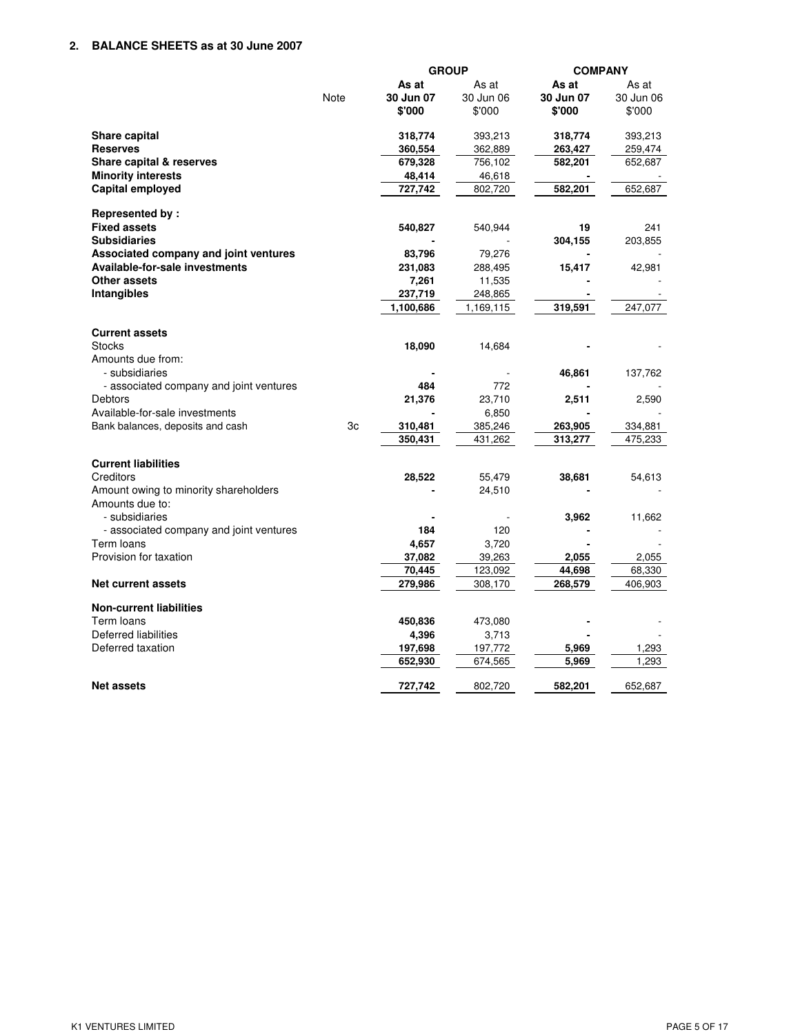|                                         |      | <b>GROUP</b> |           | <b>COMPANY</b> |           |
|-----------------------------------------|------|--------------|-----------|----------------|-----------|
|                                         |      | As at        | As at     | As at          | As at     |
|                                         | Note | 30 Jun 07    | 30 Jun 06 | 30 Jun 07      | 30 Jun 06 |
|                                         |      | \$'000       | \$'000    | \$'000         | \$'000    |
| Share capital                           |      | 318,774      | 393,213   | 318,774        | 393,213   |
| <b>Reserves</b>                         |      | 360,554      | 362,889   | 263,427        | 259,474   |
| Share capital & reserves                |      | 679,328      | 756,102   | 582,201        | 652,687   |
| <b>Minority interests</b>               |      | 48,414       | 46,618    |                |           |
| Capital employed                        |      | 727,742      | 802,720   | 582,201        | 652,687   |
| Represented by:                         |      |              |           |                |           |
| <b>Fixed assets</b>                     |      | 540,827      | 540,944   | 19             | 241       |
| <b>Subsidiaries</b>                     |      |              |           | 304,155        | 203,855   |
| Associated company and joint ventures   |      | 83,796       | 79,276    |                |           |
| Available-for-sale investments          |      | 231,083      | 288,495   | 15,417         | 42,981    |
| Other assets                            |      | 7,261        | 11,535    |                |           |
| <b>Intangibles</b>                      |      | 237,719      | 248,865   |                |           |
|                                         |      | 1,100,686    | 1,169,115 | 319,591        | 247,077   |
| <b>Current assets</b>                   |      |              |           |                |           |
| <b>Stocks</b>                           |      | 18,090       | 14,684    |                |           |
| Amounts due from:<br>- subsidiaries     |      |              |           | 46,861         | 137,762   |
| - associated company and joint ventures |      | 484          | 772       |                |           |
| Debtors                                 |      | 21,376       | 23,710    | 2,511          | 2,590     |
| Available-for-sale investments          |      |              | 6,850     |                |           |
| Bank balances, deposits and cash        | 3c   | 310,481      | 385,246   | 263,905        | 334,881   |
|                                         |      | 350,431      | 431,262   | 313,277        | 475,233   |
| <b>Current liabilities</b>              |      |              |           |                |           |
| Creditors                               |      | 28,522       | 55,479    | 38,681         | 54,613    |
| Amount owing to minority shareholders   |      |              | 24,510    |                |           |
| Amounts due to:                         |      |              |           |                |           |
| - subsidiaries                          |      |              |           | 3,962          | 11,662    |
| - associated company and joint ventures |      | 184          | 120       |                |           |
| Term loans                              |      | 4,657        | 3,720     |                |           |
| Provision for taxation                  |      | 37,082       | 39,263    | 2,055          | 2,055     |
|                                         |      | 70,445       | 123,092   | 44,698         | 68,330    |
| Net current assets                      |      | 279,986      | 308,170   | 268,579        | 406,903   |
| <b>Non-current liabilities</b>          |      |              |           |                |           |
| Term loans                              |      | 450,836      | 473,080   |                |           |
| Deferred liabilities                    |      | 4,396        | 3,713     |                |           |
| Deferred taxation                       |      | 197,698      | 197,772   | 5,969          | 1,293     |
|                                         |      | 652,930      | 674,565   | 5,969          | 1,293     |
| <b>Net assets</b>                       |      | 727,742      | 802,720   | 582,201        | 652,687   |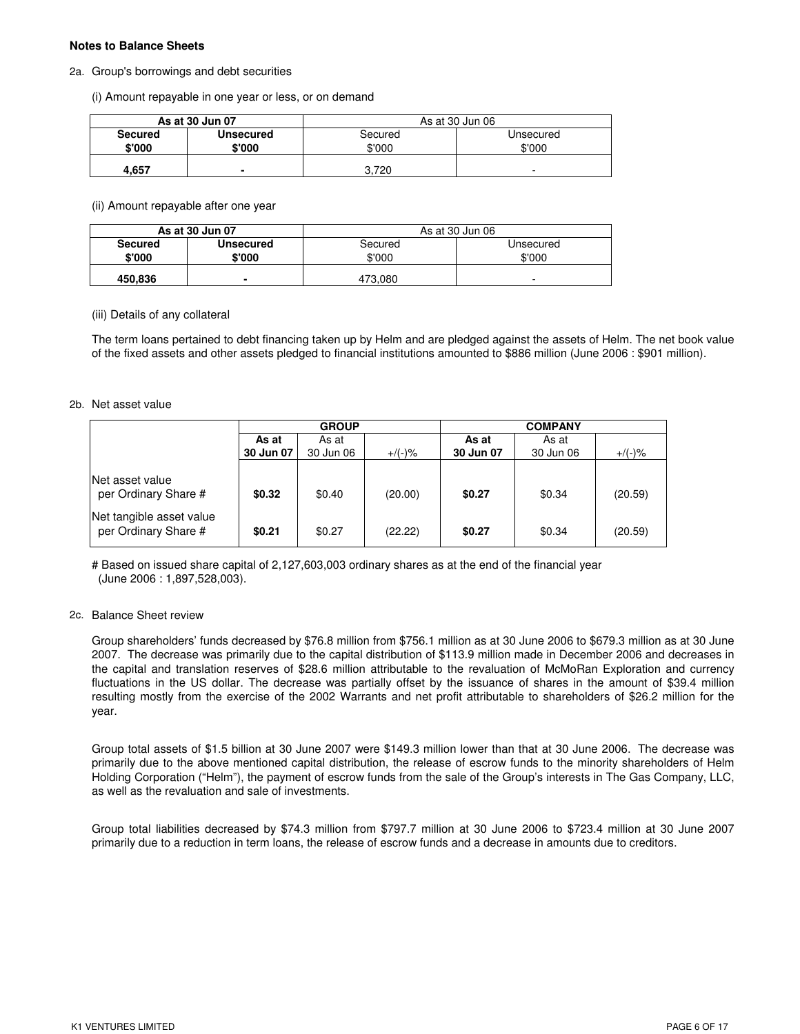### **Notes to Balance Sheets**

#### 2a. Group's borrowings and debt securities

(i) Amount repayable in one year or less, or on demand

|                          | As at 30 Jun 07     | As at 30 Jun 06   |                     |
|--------------------------|---------------------|-------------------|---------------------|
| <b>Secured</b><br>\$'000 | Unsecured<br>\$'000 | Secured<br>\$'000 | Unsecured<br>\$'000 |
| 4.657                    |                     | 3.720             | -                   |

(ii) Amount repayable after one year

| As at 30 Jun 07 |           | As at 30 Jun 06 |           |  |
|-----------------|-----------|-----------------|-----------|--|
| <b>Secured</b>  | Unsecured | Secured         | Unsecured |  |
| \$'000          | \$'000    | \$'000          | \$'000    |  |
| 450,836         | ۰         | 473,080         | -         |  |

#### (iii) Details of any collateral

The term loans pertained to debt financing taken up by Helm and are pledged against the assets of Helm. The net book value of the fixed assets and other assets pledged to financial institutions amounted to \$886 million (June 2006 : \$901 million).

#### 2b. Net asset value

|                                                  | <b>GROUP</b> |           |           | <b>COMPANY</b> |           |           |
|--------------------------------------------------|--------------|-----------|-----------|----------------|-----------|-----------|
|                                                  | As at        | As at     |           | As at<br>As at |           |           |
|                                                  | 30 Jun 07    | 30 Jun 06 | $+/(-)$ % | 30 Jun 07      | 30 Jun 06 | $+$ /(-)% |
| lNet asset value<br>per Ordinary Share #         | \$0.32       | \$0.40    | (20.00)   | \$0.27         | \$0.34    | (20.59)   |
| Net tangible asset value<br>per Ordinary Share # | \$0.21       | \$0.27    | (22.22)   | \$0.27         | \$0.34    | (20.59)   |

# Based on issued share capital of 2,127,603,003 ordinary shares as at the end of the financial year (June 2006 : 1,897,528,003).

### 2c. Balance Sheet review

Group shareholders' funds decreased by \$76.8 million from \$756.1 million as at 30 June 2006 to \$679.3 million as at 30 June 2007. The decrease was primarily due to the capital distribution of \$113.9 million made in December 2006 and decreases in the capital and translation reserves of \$28.6 million attributable to the revaluation of McMoRan Exploration and currency fluctuations in the US dollar. The decrease was partially offset by the issuance of shares in the amount of \$39.4 million resulting mostly from the exercise of the 2002 Warrants and net profit attributable to shareholders of \$26.2 million for the year.

Group total assets of \$1.5 billion at 30 June 2007 were \$149.3 million lower than that at 30 June 2006. The decrease was primarily due to the above mentioned capital distribution, the release of escrow funds to the minority shareholders of Helm Holding Corporation ("Helm"), the payment of escrow funds from the sale of the Group's interests in The Gas Company, LLC, as well as the revaluation and sale of investments.

Group total liabilities decreased by \$74.3 million from \$797.7 million at 30 June 2006 to \$723.4 million at 30 June 2007 primarily due to a reduction in term loans, the release of escrow funds and a decrease in amounts due to creditors.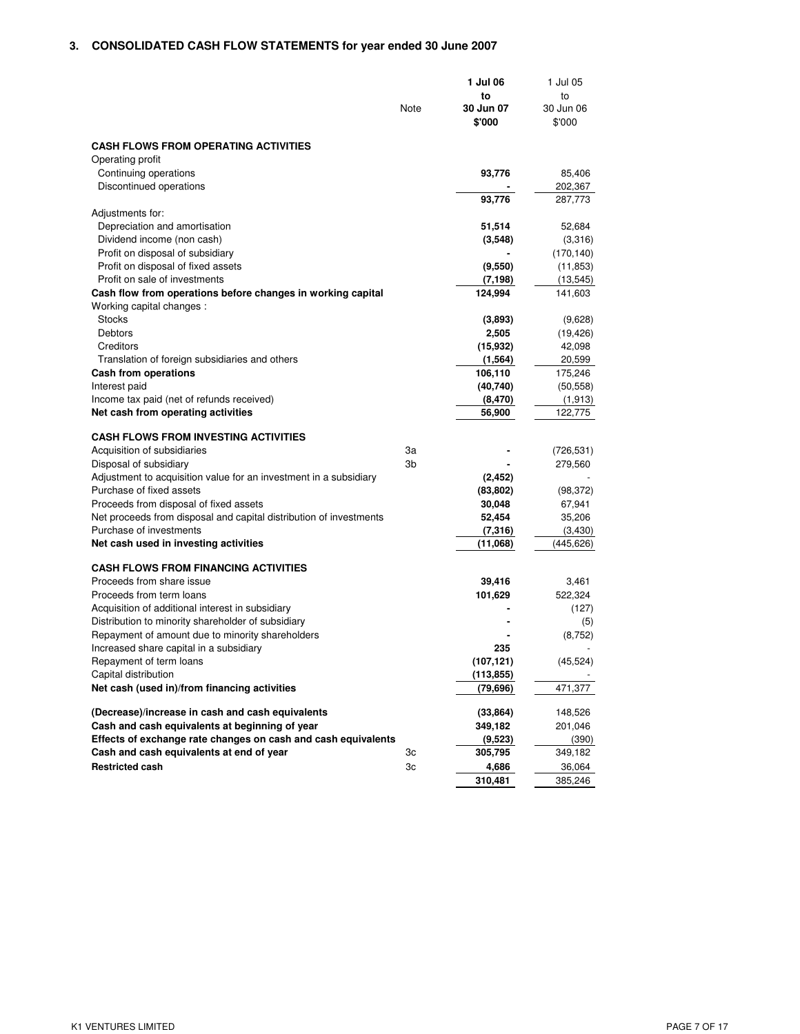# **3. CONSOLIDATED CASH FLOW STATEMENTS for year ended 30 June 2007**

|                                                                                         | Note | 1 Jul 06<br>to<br>30 Jun 07<br>\$'000 | 1 Jul 05<br>to<br>30 Jun 06<br>\$'000 |
|-----------------------------------------------------------------------------------------|------|---------------------------------------|---------------------------------------|
| <b>CASH FLOWS FROM OPERATING ACTIVITIES</b>                                             |      |                                       |                                       |
| Operating profit                                                                        |      |                                       |                                       |
| Continuing operations                                                                   |      | 93,776                                | 85,406                                |
| Discontinued operations                                                                 |      |                                       | 202,367                               |
|                                                                                         |      | 93,776                                | 287,773                               |
| Adjustments for:                                                                        |      |                                       |                                       |
| Depreciation and amortisation                                                           |      | 51,514                                | 52,684                                |
| Dividend income (non cash)                                                              |      | (3, 548)                              | (3,316)                               |
| Profit on disposal of subsidiary                                                        |      |                                       | (170, 140)                            |
| Profit on disposal of fixed assets                                                      |      | (9,550)                               | (11, 853)                             |
| Profit on sale of investments                                                           |      | (7, 198)                              | (13, 545)                             |
| Cash flow from operations before changes in working capital<br>Working capital changes: |      | 124,994                               | 141,603                               |
| <b>Stocks</b>                                                                           |      | (3,893)                               | (9,628)                               |
| Debtors                                                                                 |      | 2,505                                 | (19, 426)                             |
| Creditors                                                                               |      | (15, 932)                             | 42,098                                |
| Translation of foreign subsidiaries and others                                          |      | (1, 564)                              | 20,599                                |
| Cash from operations                                                                    |      | 106,110                               | 175,246                               |
| Interest paid<br>Income tax paid (net of refunds received)                              |      | (40, 740)<br>(8, 470)                 | (50, 558)<br>(1, 913)                 |
| Net cash from operating activities                                                      |      | 56,900                                | 122,775                               |
|                                                                                         |      |                                       |                                       |
| <b>CASH FLOWS FROM INVESTING ACTIVITIES</b>                                             |      |                                       |                                       |
| Acquisition of subsidiaries                                                             | За   |                                       | (726, 531)                            |
| Disposal of subsidiary                                                                  | 3b   |                                       | 279,560                               |
| Adjustment to acquisition value for an investment in a subsidiary                       |      | (2, 452)                              |                                       |
| Purchase of fixed assets                                                                |      | (83, 802)                             | (98, 372)                             |
| Proceeds from disposal of fixed assets                                                  |      | 30,048                                | 67,941                                |
| Net proceeds from disposal and capital distribution of investments                      |      | 52,454                                | 35,206                                |
| Purchase of investments                                                                 |      | (7, 316)                              | (3, 430)                              |
| Net cash used in investing activities                                                   |      | (11,068)                              | (445,626)                             |
| <b>CASH FLOWS FROM FINANCING ACTIVITIES</b>                                             |      |                                       |                                       |
| Proceeds from share issue                                                               |      | 39,416                                | 3,461                                 |
| Proceeds from term loans                                                                |      | 101,629                               | 522,324                               |
| Acquisition of additional interest in subsidiary                                        |      |                                       | (127)                                 |
| Distribution to minority shareholder of subsidiary                                      |      |                                       | (5)                                   |
| Repayment of amount due to minority shareholders                                        |      |                                       | (8, 752)                              |
| Increased share capital in a subsidiary                                                 |      | 235                                   |                                       |
| Repayment of term loans<br>Capital distribution                                         |      | (107, 121)<br>(113, 855)              | (45, 524)                             |
| Net cash (used in)/from financing activities                                            |      | (79, 696)                             | 471,377                               |
|                                                                                         |      |                                       |                                       |
| (Decrease)/increase in cash and cash equivalents                                        |      | (33, 864)                             | 148,526                               |
| Cash and cash equivalents at beginning of year                                          |      | 349,182                               | 201,046                               |
| Effects of exchange rate changes on cash and cash equivalents                           |      | (9,523)                               | (390)                                 |
| Cash and cash equivalents at end of year                                                | Зc   | 305,795                               | 349,182                               |
| <b>Restricted cash</b>                                                                  | Зc   | 4,686                                 | 36,064                                |
|                                                                                         |      | 310,481                               | 385,246                               |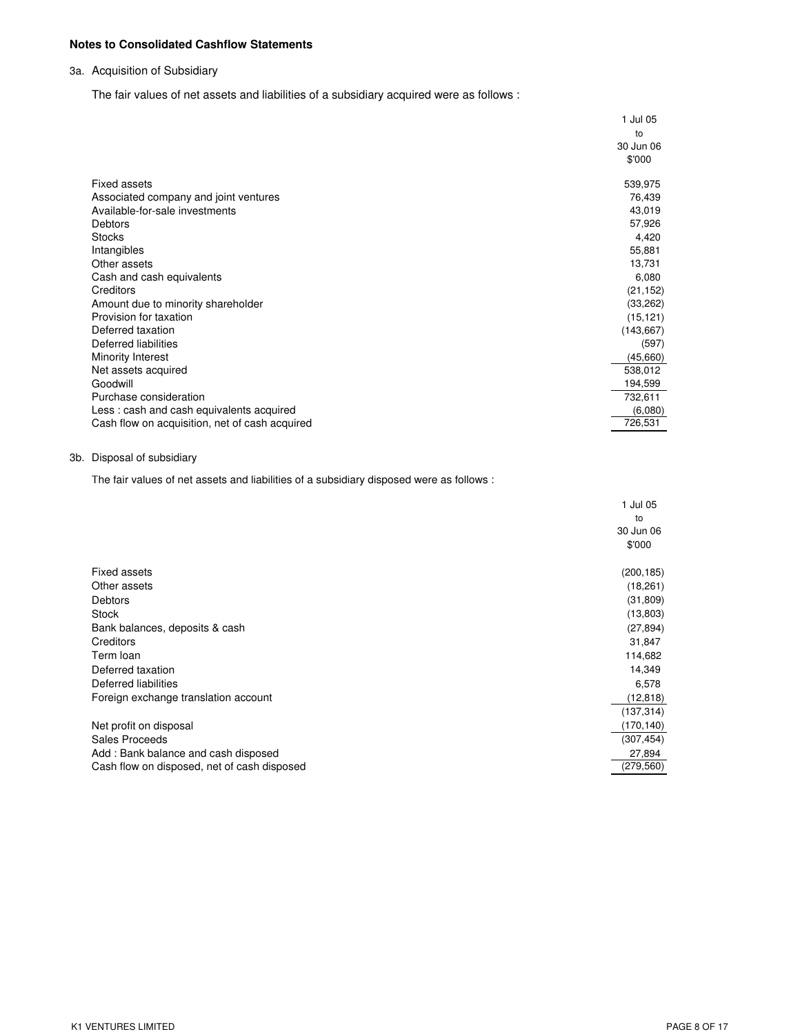## **Notes to Consolidated Cashflow Statements**

## 3a. Acquisition of Subsidiary

The fair values of net assets and liabilities of a subsidiary acquired were as follows :

|                                                | 1 Jul 05   |
|------------------------------------------------|------------|
|                                                | to         |
|                                                | 30 Jun 06  |
|                                                | \$'000     |
| Fixed assets                                   | 539,975    |
| Associated company and joint ventures          | 76,439     |
| Available-for-sale investments                 | 43,019     |
| <b>Debtors</b>                                 | 57,926     |
| <b>Stocks</b>                                  | 4,420      |
| Intangibles                                    | 55,881     |
| Other assets                                   | 13,731     |
| Cash and cash equivalents                      | 6,080      |
| Creditors                                      | (21, 152)  |
| Amount due to minority shareholder             | (33, 262)  |
| Provision for taxation                         | (15, 121)  |
| Deferred taxation                              | (143, 667) |
| Deferred liabilities                           | (597)      |
| Minority Interest                              | (45,660)   |
| Net assets acquired                            | 538,012    |
| Goodwill                                       | 194,599    |
| Purchase consideration                         | 732,611    |
| Less: cash and cash equivalents acquired       | (6,080)    |
| Cash flow on acquisition, net of cash acquired | 726,531    |

## 3b. Disposal of subsidiary

The fair values of net assets and liabilities of a subsidiary disposed were as follows :

|                                             | 1 Jul 05   |
|---------------------------------------------|------------|
|                                             | to         |
|                                             | 30 Jun 06  |
|                                             | \$'000     |
| <b>Fixed assets</b>                         | (200, 185) |
| Other assets                                | (18, 261)  |
| <b>Debtors</b>                              | (31, 809)  |
| <b>Stock</b>                                | (13,803)   |
| Bank balances, deposits & cash              | (27, 894)  |
| Creditors                                   | 31,847     |
| Term loan                                   | 114,682    |
| Deferred taxation                           | 14,349     |
| Deferred liabilities                        | 6,578      |
| Foreign exchange translation account        | (12, 818)  |
|                                             | (137, 314) |
| Net profit on disposal                      | (170, 140) |
| Sales Proceeds                              | (307, 454) |
| Add: Bank balance and cash disposed         | 27,894     |
| Cash flow on disposed, net of cash disposed | (279,560)  |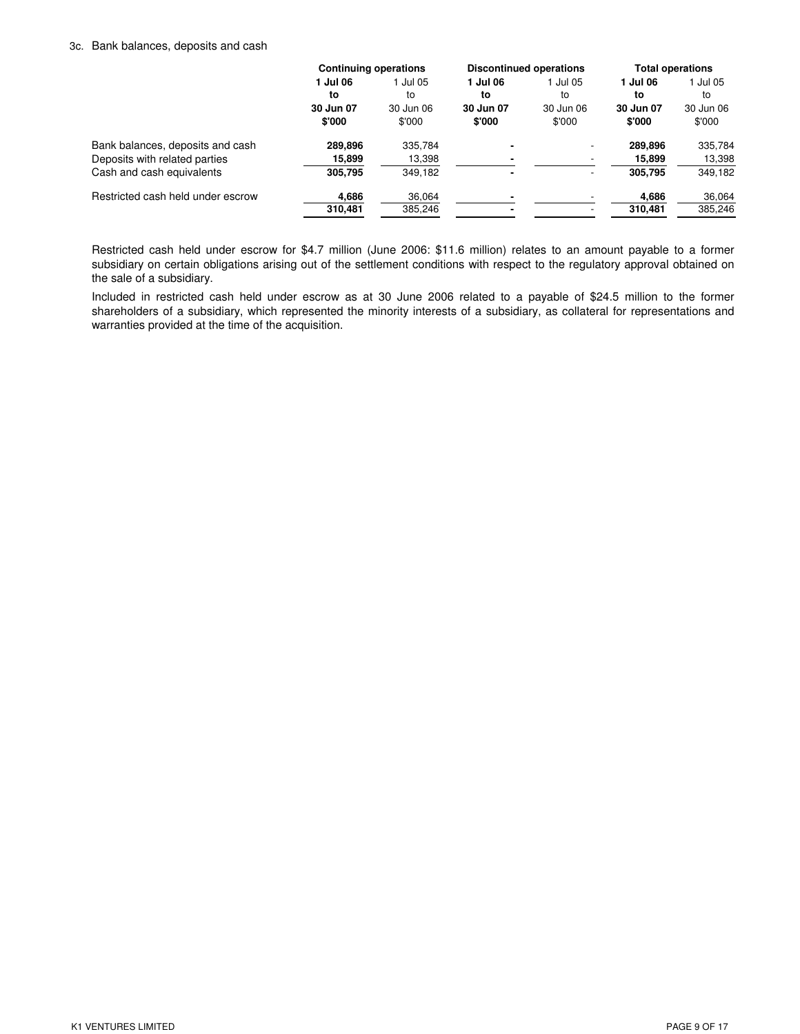#### 3c. Bank balances, deposits and cash

|                                   | <b>Continuing operations</b> |           | <b>Discontinued operations</b> |                          | <b>Total operations</b> |           |
|-----------------------------------|------------------------------|-----------|--------------------------------|--------------------------|-------------------------|-----------|
|                                   | 1 Jul 06                     | l Jul 05  | 1 Jul 06                       | Jul 05                   | 1 Jul 06                | 1 Jul 05  |
|                                   | to                           | to        | to                             | to                       | to                      | to        |
|                                   | 30 Jun 07                    | 30 Jun 06 | 30 Jun 07                      | 30 Jun 06                | 30 Jun 07               | 30 Jun 06 |
|                                   | \$'000                       | \$'000    | \$'000                         | \$'000                   | \$'000                  | \$'000    |
| Bank balances, deposits and cash  | 289.896                      | 335,784   |                                |                          | 289.896                 | 335,784   |
| Deposits with related parties     | 15,899                       | 13,398    |                                |                          | 15,899                  | 13,398    |
| Cash and cash equivalents         | 305.795                      | 349,182   |                                | $\overline{\phantom{a}}$ | 305.795                 | 349,182   |
| Restricted cash held under escrow | 4,686                        | 36,064    |                                |                          | 4,686                   | 36,064    |
|                                   | 310,481                      | 385,246   |                                | $\overline{\phantom{0}}$ | 310,481                 | 385,246   |
|                                   |                              |           |                                |                          |                         |           |

Restricted cash held under escrow for \$4.7 million (June 2006: \$11.6 million) relates to an amount payable to a former subsidiary on certain obligations arising out of the settlement conditions with respect to the regulatory approval obtained on the sale of a subsidiary.

Included in restricted cash held under escrow as at 30 June 2006 related to a payable of \$24.5 million to the former shareholders of a subsidiary, which represented the minority interests of a subsidiary, as collateral for representations and warranties provided at the time of the acquisition.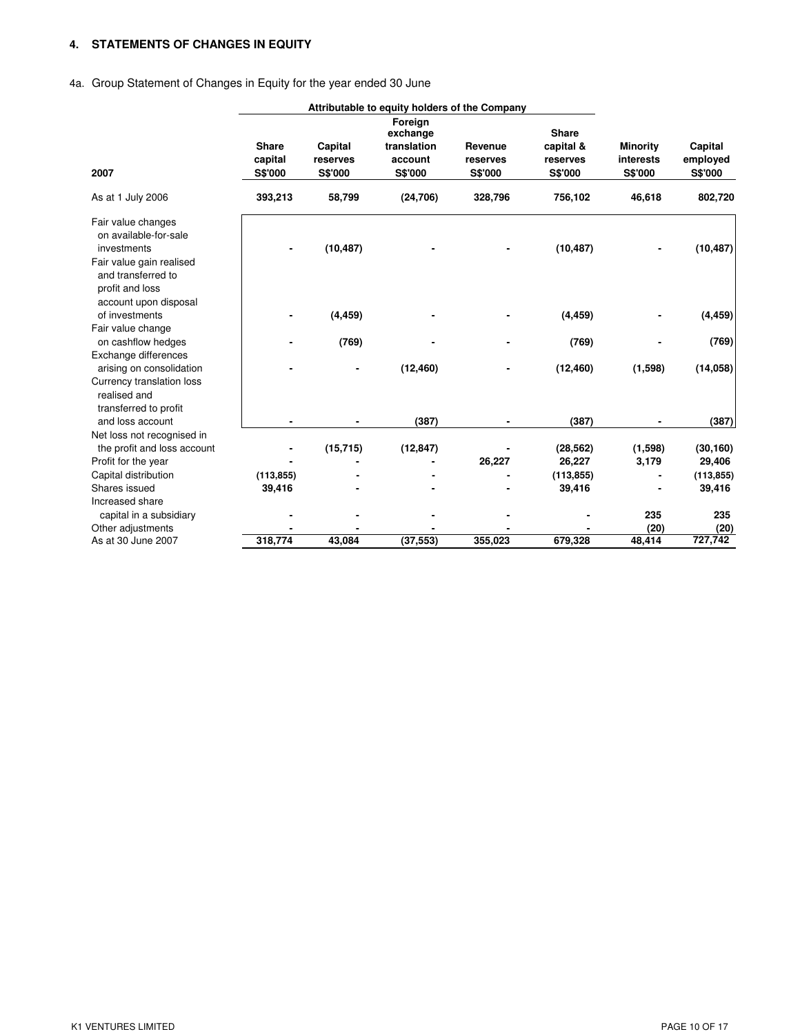## **4. STATEMENTS OF CHANGES IN EQUITY**

# 4a. Group Statement of Changes in Equity for the year ended 30 June

|                                                                                                                                 |                                    |                                | Attributable to equity holders of the Company            |                                |                                                  |                                         |                                |
|---------------------------------------------------------------------------------------------------------------------------------|------------------------------------|--------------------------------|----------------------------------------------------------|--------------------------------|--------------------------------------------------|-----------------------------------------|--------------------------------|
| 2007                                                                                                                            | <b>Share</b><br>capital<br>S\$'000 | Capital<br>reserves<br>S\$'000 | Foreign<br>exchange<br>translation<br>account<br>S\$'000 | Revenue<br>reserves<br>S\$'000 | <b>Share</b><br>capital &<br>reserves<br>S\$'000 | <b>Minority</b><br>interests<br>S\$'000 | Capital<br>employed<br>S\$'000 |
| As at 1 July 2006                                                                                                               | 393,213                            | 58,799                         | (24, 706)                                                | 328,796                        | 756,102                                          | 46,618                                  | 802,720                        |
| Fair value changes<br>on available-for-sale<br>investments<br>Fair value gain realised<br>and transferred to<br>profit and loss |                                    | (10, 487)                      |                                                          |                                | (10, 487)                                        |                                         | (10, 487)                      |
| account upon disposal<br>of investments                                                                                         |                                    | (4, 459)                       |                                                          |                                | (4, 459)                                         |                                         | (4, 459)                       |
| Fair value change                                                                                                               |                                    |                                |                                                          |                                |                                                  |                                         |                                |
| on cashflow hedges                                                                                                              |                                    | (769)                          |                                                          |                                | (769)                                            |                                         | (769)                          |
| Exchange differences                                                                                                            |                                    |                                |                                                          |                                |                                                  |                                         |                                |
| arising on consolidation                                                                                                        |                                    |                                | (12, 460)                                                |                                | (12, 460)                                        | (1,598)                                 | (14, 058)                      |
| Currency translation loss<br>realised and<br>transferred to profit                                                              |                                    |                                |                                                          |                                |                                                  |                                         |                                |
| and loss account                                                                                                                |                                    |                                | (387)                                                    |                                | (387)                                            |                                         | (387)                          |
| Net loss not recognised in                                                                                                      |                                    |                                |                                                          |                                |                                                  |                                         |                                |
| the profit and loss account                                                                                                     |                                    | (15, 715)                      | (12, 847)                                                |                                | (28, 562)                                        | (1,598)                                 | (30, 160)                      |
| Profit for the year                                                                                                             |                                    |                                |                                                          | 26,227                         | 26,227                                           | 3,179                                   | 29,406                         |
| Capital distribution                                                                                                            | (113, 855)                         |                                |                                                          |                                | (113, 855)                                       |                                         | (113, 855)                     |
| Shares issued                                                                                                                   | 39,416                             |                                |                                                          |                                | 39,416                                           |                                         | 39,416                         |
| Increased share                                                                                                                 |                                    |                                |                                                          |                                |                                                  |                                         |                                |
| capital in a subsidiary                                                                                                         |                                    |                                |                                                          |                                |                                                  | 235                                     | 235                            |
| Other adjustments                                                                                                               |                                    |                                |                                                          |                                |                                                  | (20)                                    | (20)                           |
| As at 30 June 2007                                                                                                              | 318,774                            | 43,084                         | (37, 553)                                                | 355,023                        | 679,328                                          | 48,414                                  | 727,742                        |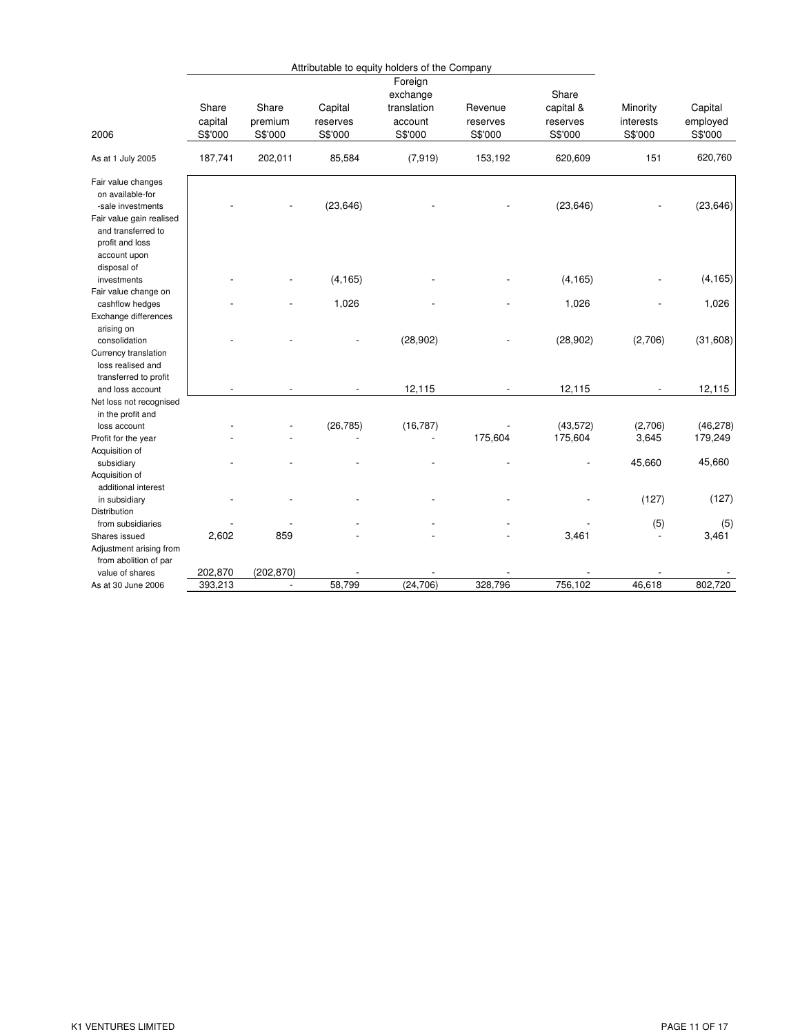|                                            |         |                          |           | Attributable to equity holders of the Company |          |           |           |           |
|--------------------------------------------|---------|--------------------------|-----------|-----------------------------------------------|----------|-----------|-----------|-----------|
|                                            |         |                          |           | Foreign                                       |          |           |           |           |
|                                            |         |                          |           | exchange                                      |          | Share     |           |           |
|                                            | Share   | Share                    | Capital   | translation                                   | Revenue  | capital & | Minority  | Capital   |
|                                            | capital | premium                  | reserves  | account                                       | reserves | reserves  | interests | employed  |
| 2006                                       | S\$'000 | S\$'000                  | S\$'000   | S\$'000                                       | S\$'000  | S\$'000   | S\$'000   | S\$'000   |
| As at 1 July 2005                          | 187,741 | 202,011                  | 85,584    | (7, 919)                                      | 153,192  | 620,609   | 151       | 620,760   |
| Fair value changes                         |         |                          |           |                                               |          |           |           |           |
| on available-for                           |         |                          |           |                                               |          |           |           |           |
| -sale investments                          |         |                          | (23, 646) |                                               |          | (23, 646) |           | (23, 646) |
| Fair value gain realised                   |         |                          |           |                                               |          |           |           |           |
| and transferred to                         |         |                          |           |                                               |          |           |           |           |
| profit and loss                            |         |                          |           |                                               |          |           |           |           |
| account upon                               |         |                          |           |                                               |          |           |           |           |
| disposal of                                |         |                          |           |                                               |          |           |           |           |
| investments                                |         |                          | (4, 165)  |                                               |          | (4, 165)  |           | (4, 165)  |
| Fair value change on                       |         |                          |           |                                               |          |           |           |           |
| cashflow hedges                            |         |                          | 1,026     |                                               |          | 1,026     |           | 1,026     |
| Exchange differences                       |         |                          |           |                                               |          |           |           |           |
| arising on                                 |         |                          |           |                                               |          |           |           |           |
| consolidation                              |         |                          |           | (28, 902)                                     |          | (28, 902) | (2,706)   | (31,608)  |
| Currency translation                       |         |                          |           |                                               |          |           |           |           |
| loss realised and<br>transferred to profit |         |                          |           |                                               |          |           |           |           |
| and loss account                           |         |                          |           | 12,115                                        |          | 12,115    |           | 12,115    |
| Net loss not recognised                    |         |                          |           |                                               |          |           |           |           |
| in the profit and                          |         |                          |           |                                               |          |           |           |           |
| loss account                               |         |                          | (26, 785) | (16, 787)                                     |          | (43, 572) | (2,706)   | (46, 278) |
| Profit for the year                        |         |                          |           |                                               | 175,604  | 175,604   | 3,645     | 179,249   |
| Acquisition of                             |         |                          |           |                                               |          |           |           |           |
| subsidiary                                 |         |                          |           |                                               |          |           | 45,660    | 45,660    |
| Acquisition of                             |         |                          |           |                                               |          |           |           |           |
| additional interest                        |         |                          |           |                                               |          |           |           |           |
| in subsidiary                              |         |                          |           |                                               |          |           | (127)     | (127)     |
| <b>Distribution</b>                        |         |                          |           |                                               |          |           |           |           |
| from subsidiaries                          |         |                          |           |                                               |          |           | (5)       | (5)       |
| Shares issued                              | 2,602   | 859                      |           |                                               |          | 3,461     |           | 3,461     |
| Adjustment arising from                    |         |                          |           |                                               |          |           |           |           |
| from abolition of par                      |         |                          |           |                                               |          |           |           |           |
| value of shares                            | 202,870 | (202, 870)               |           |                                               |          |           |           |           |
| As at 30 June 2006                         | 393,213 | $\overline{\phantom{a}}$ | 58,799    | (24, 706)                                     | 328,796  | 756,102   | 46,618    | 802,720   |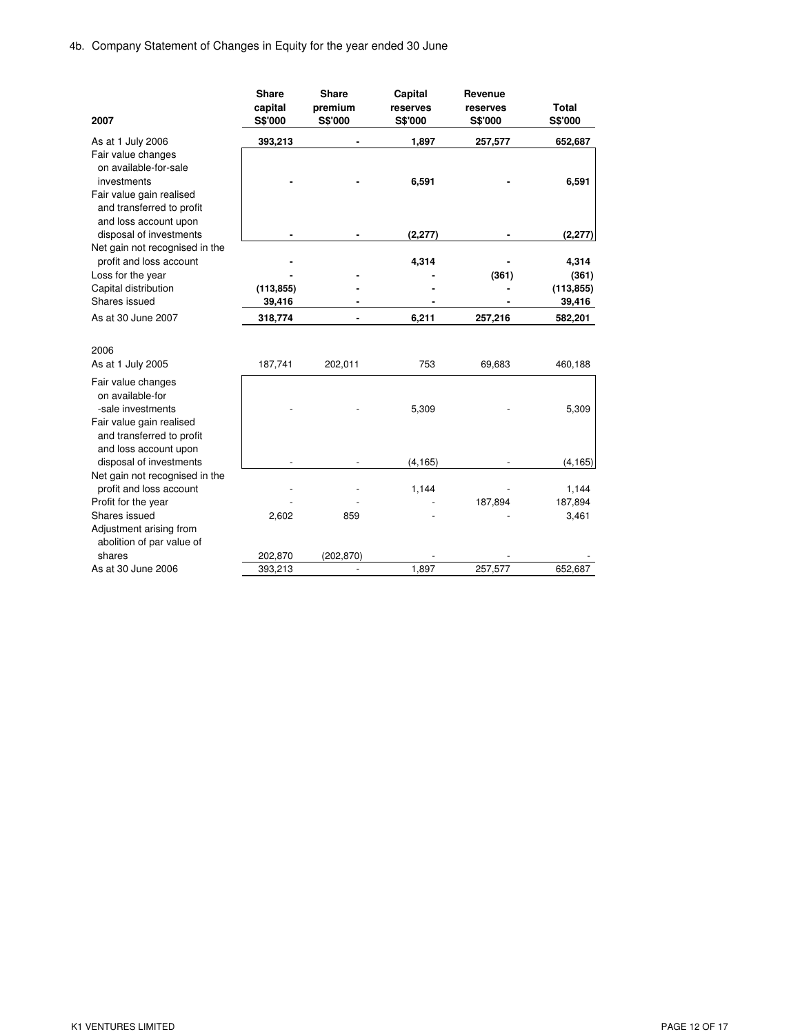|                                                           | <b>Share</b> | <b>Share</b> | Capital        | Revenue        |                |
|-----------------------------------------------------------|--------------|--------------|----------------|----------------|----------------|
|                                                           | capital      | premium      | reserves       | reserves       | <b>Total</b>   |
| 2007                                                      | S\$'000      | S\$'000      | <b>S\$'000</b> | <b>S\$'000</b> | <b>S\$'000</b> |
| As at 1 July 2006                                         | 393,213      |              | 1,897          | 257,577        | 652,687        |
| Fair value changes                                        |              |              |                |                |                |
| on available-for-sale                                     |              |              |                |                |                |
| investments                                               |              |              | 6,591          |                | 6,591          |
| Fair value gain realised                                  |              |              |                |                |                |
| and transferred to profit                                 |              |              |                |                |                |
| and loss account upon                                     |              |              |                |                |                |
| disposal of investments                                   |              |              | (2, 277)       |                | (2, 277)       |
| Net gain not recognised in the                            |              |              |                |                |                |
| profit and loss account                                   |              |              | 4,314          |                | 4,314          |
| Loss for the year                                         |              |              |                | (361)          | (361)          |
| Capital distribution<br>Shares issued                     | (113, 855)   |              |                |                | (113, 855)     |
|                                                           | 39,416       |              |                |                | 39,416         |
| As at 30 June 2007                                        | 318,774      |              | 6,211          | 257,216        | 582,201        |
| 2006                                                      |              |              |                |                |                |
| As at 1 July 2005                                         | 187,741      | 202,011      | 753            | 69,683         | 460,188        |
|                                                           |              |              |                |                |                |
| Fair value changes                                        |              |              |                |                |                |
| on available-for                                          |              |              |                |                |                |
| -sale investments                                         |              |              | 5,309          |                | 5,309          |
| Fair value gain realised                                  |              |              |                |                |                |
| and transferred to profit                                 |              |              |                |                |                |
| and loss account upon                                     |              |              |                |                |                |
| disposal of investments<br>Net gain not recognised in the |              |              | (4, 165)       |                | (4, 165)       |
| profit and loss account                                   |              |              | 1,144          |                | 1,144          |
| Profit for the year                                       |              |              |                | 187,894        | 187,894        |
| Shares issued                                             | 2,602        | 859          |                |                | 3,461          |
| Adjustment arising from                                   |              |              |                |                |                |
| abolition of par value of                                 |              |              |                |                |                |
| shares                                                    | 202,870      | (202, 870)   |                |                |                |
| As at 30 June 2006                                        | 393,213      |              | 1,897          | 257,577        | 652,687        |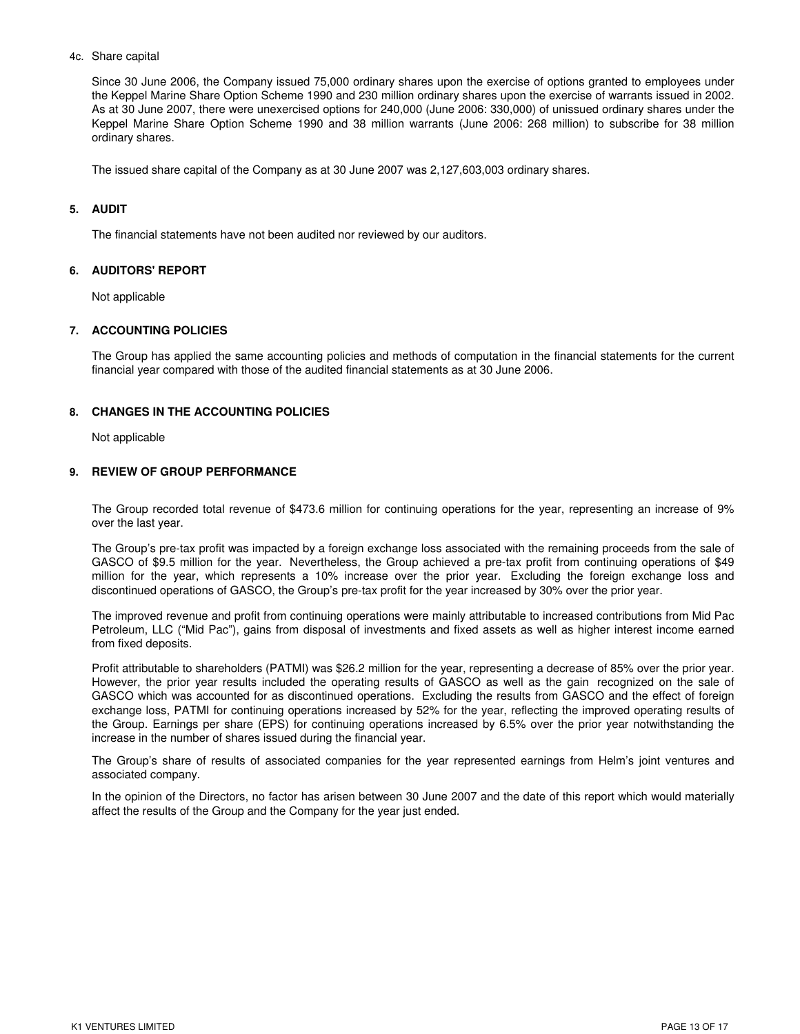### 4c. Share capital

Since 30 June 2006, the Company issued 75,000 ordinary shares upon the exercise of options granted to employees under the Keppel Marine Share Option Scheme 1990 and 230 million ordinary shares upon the exercise of warrants issued in 2002. As at 30 June 2007, there were unexercised options for 240,000 (June 2006: 330,000) of unissued ordinary shares under the Keppel Marine Share Option Scheme 1990 and 38 million warrants (June 2006: 268 million) to subscribe for 38 million ordinary shares.

The issued share capital of the Company as at 30 June 2007 was 2,127,603,003 ordinary shares.

## **5. AUDIT**

The financial statements have not been audited nor reviewed by our auditors.

## **6. AUDITORS' REPORT**

Not applicable

## **7. ACCOUNTING POLICIES**

The Group has applied the same accounting policies and methods of computation in the financial statements for the current financial year compared with those of the audited financial statements as at 30 June 2006.

## **8. CHANGES IN THE ACCOUNTING POLICIES**

Not applicable

### **9. REVIEW OF GROUP PERFORMANCE**

The Group recorded total revenue of \$473.6 million for continuing operations for the year, representing an increase of 9% over the last year.

The Group's pre-tax profit was impacted by a foreign exchange loss associated with the remaining proceeds from the sale of GASCO of \$9.5 million for the year. Nevertheless, the Group achieved a pre-tax profit from continuing operations of \$49 million for the year, which represents a 10% increase over the prior year. Excluding the foreign exchange loss and discontinued operations of GASCO, the Group's pre-tax profit for the year increased by 30% over the prior year.

The improved revenue and profit from continuing operations were mainly attributable to increased contributions from Mid Pac Petroleum, LLC ("Mid Pac"), gains from disposal of investments and fixed assets as well as higher interest income earned from fixed deposits.

Profit attributable to shareholders (PATMI) was \$26.2 million for the year, representing a decrease of 85% over the prior year. However, the prior year results included the operating results of GASCO as well as the gain recognized on the sale of GASCO which was accounted for as discontinued operations. Excluding the results from GASCO and the effect of foreign exchange loss, PATMI for continuing operations increased by 52% for the year, reflecting the improved operating results of the Group. Earnings per share (EPS) for continuing operations increased by 6.5% over the prior year notwithstanding the increase in the number of shares issued during the financial year.

The Group's share of results of associated companies for the year represented earnings from Helm's joint ventures and associated company.

In the opinion of the Directors, no factor has arisen between 30 June 2007 and the date of this report which would materially affect the results of the Group and the Company for the year just ended.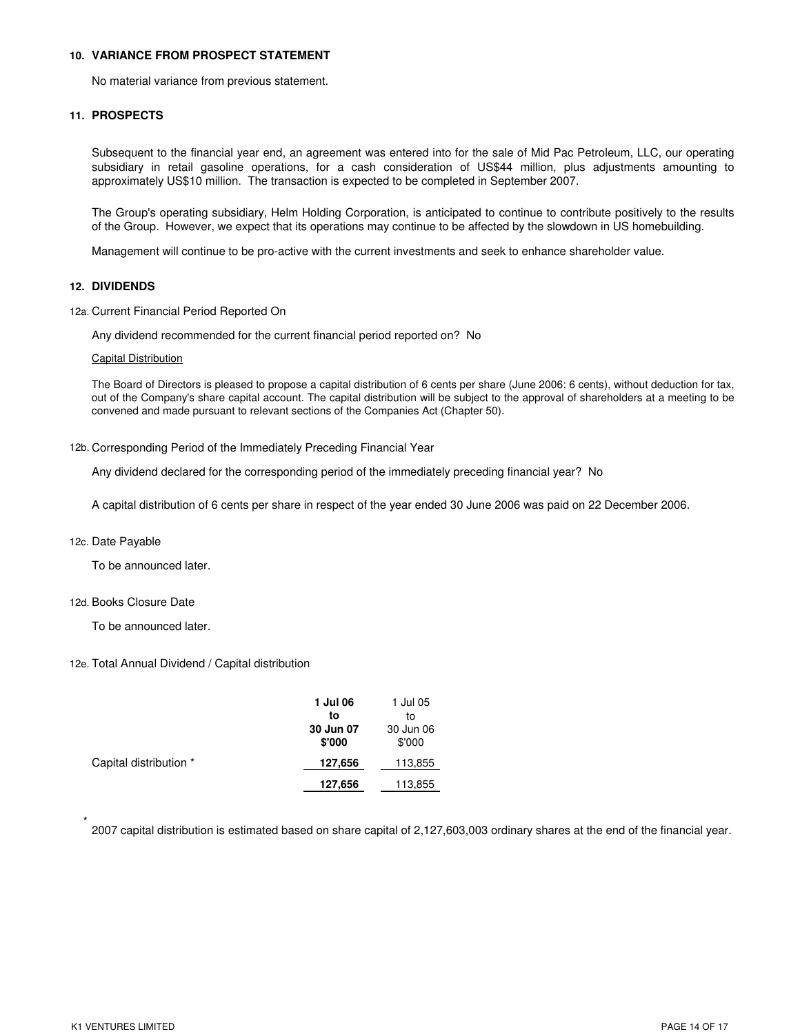### **10. VARIANCE FROM PROSPECT STATEMENT**

No material variance from previous statement.

#### **11. PROSPECTS**

Subsequent to the financial year end, an agreement was entered into for the sale of Mid Pac Petroleum, LLC, our operating subsidiary in retail gasoline operations, for a cash consideration of US\$44 million, plus adjustments amounting to approximately US\$10 million. The transaction is expected to be completed in September 2007.

The Group's operating subsidiary, Helm Holding Corporation, is anticipated to continue to contribute positively to the results of the Group. However, we expect that its operations may continue to be affected by the slowdown in US homebuilding.

Management will continue to be pro-active with the current investments and seek to enhance shareholder value.

#### **12. DIVIDENDS**

12a. Current Financial Period Reported On

Any dividend recommended for the current financial period reported on? No

#### Capital Distribution

The Board of Directors is pleased to propose a capital distribution of 6 cents per share (June 2006: 6 cents), without deduction for tax, out of the Company's share capital account. The capital distribution will be subject to the approval of shareholders at a meeting to be convened and made pursuant to relevant sections of the Companies Act (Chapter 50).

#### 12b. Corresponding Period of the Immediately Preceding Financial Year

Any dividend declared for the corresponding period of the immediately preceding financial year? No

A capital distribution of 6 cents per share in respect of the year ended 30 June 2006 was paid on 22 December 2006.

#### 12c. Date Payable

To be announced later.

### 12d. Books Closure Date

To be announced later.

### 12e. Total Annual Dividend / Capital distribution

|                        | 1 Jul 06<br>to<br>30 Jun 07<br>\$'000 | 1 Jul 05<br>to<br>30 Jun 06<br>\$'000 |
|------------------------|---------------------------------------|---------------------------------------|
| Capital distribution * | 127,656                               | 113,855                               |
|                        | 127,656                               | 113,855                               |

\* 2007 capital distribution is estimated based on share capital of 2,127,603,003 ordinary shares at the end of the financial year.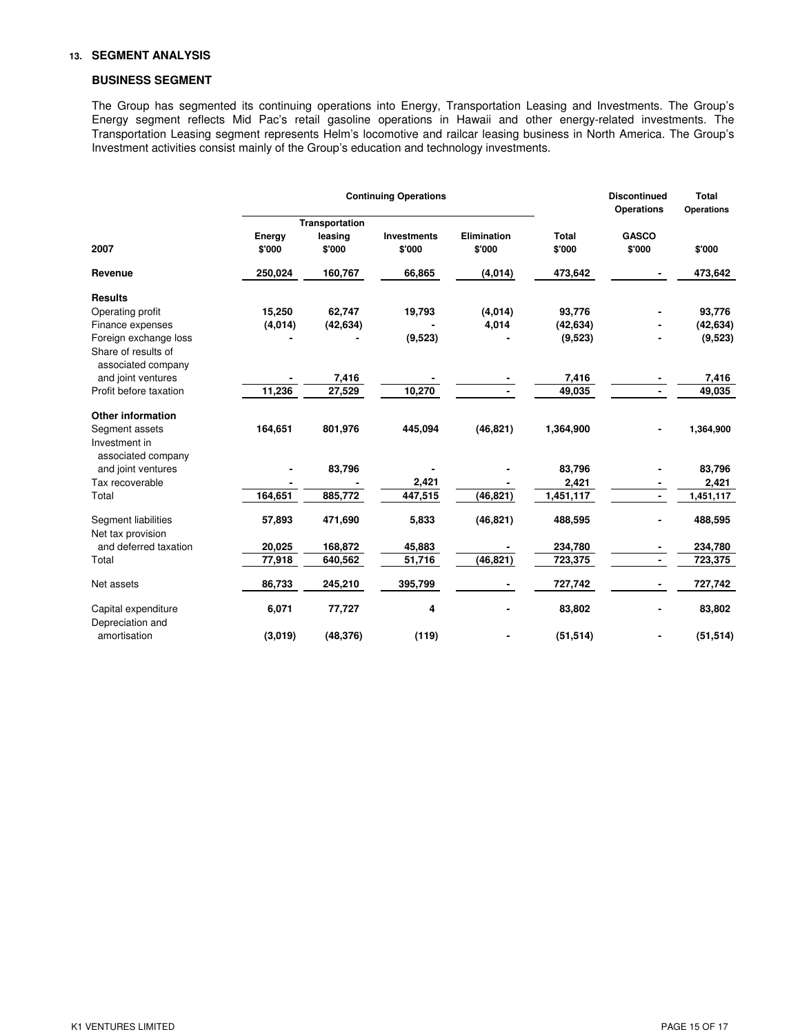### **13. SEGMENT ANALYSIS**

## **BUSINESS SEGMENT**

The Group has segmented its continuing operations into Energy, Transportation Leasing and Investments. The Group's Energy segment reflects Mid Pac's retail gasoline operations in Hawaii and other energy-related investments. The Transportation Leasing segment represents Helm's locomotive and railcar leasing business in North America. The Group's Investment activities consist mainly of the Group's education and technology investments.

|                                           | <b>Continuing Operations</b> |                                     |                              |                              |                        | <b>Discontinued</b><br><b>Operations</b> | Total<br><b>Operations</b> |
|-------------------------------------------|------------------------------|-------------------------------------|------------------------------|------------------------------|------------------------|------------------------------------------|----------------------------|
| 2007                                      | Energy<br>\$'000             | Transportation<br>leasing<br>\$'000 | <b>Investments</b><br>\$'000 | <b>Elimination</b><br>\$'000 | <b>Total</b><br>\$'000 | <b>GASCO</b><br>\$'000                   | \$'000                     |
| Revenue                                   | 250,024                      | 160,767                             | 66,865                       | (4,014)                      | 473,642                |                                          | 473,642                    |
| <b>Results</b>                            |                              |                                     |                              |                              |                        |                                          |                            |
| Operating profit                          | 15,250                       | 62,747                              | 19,793                       | (4,014)                      | 93,776                 |                                          | 93,776                     |
| Finance expenses                          | (4, 014)                     | (42, 634)                           |                              | 4,014                        | (42, 634)              |                                          | (42, 634)                  |
| Foreign exchange loss                     |                              |                                     | (9, 523)                     |                              | (9,523)                |                                          | (9,523)                    |
| Share of results of<br>associated company |                              |                                     |                              |                              |                        |                                          |                            |
| and joint ventures                        |                              | 7,416                               |                              |                              | 7,416                  |                                          | 7,416                      |
| Profit before taxation                    | 11,236                       | 27,529                              | 10,270                       |                              | 49,035                 |                                          | 49,035                     |
| <b>Other information</b>                  |                              |                                     |                              |                              |                        |                                          |                            |
| Segment assets                            | 164,651                      | 801,976                             | 445,094                      | (46, 821)                    | 1,364,900              |                                          | 1,364,900                  |
| Investment in<br>associated company       |                              |                                     |                              |                              |                        |                                          |                            |
| and joint ventures                        |                              | 83,796                              |                              |                              | 83,796                 |                                          | 83,796                     |
| Tax recoverable                           |                              |                                     | 2,421                        |                              | 2,421                  |                                          | 2,421                      |
| Total                                     | 164,651                      | 885,772                             | 447,515                      | (46, 821)                    | 1,451,117              | $\blacksquare$                           | 1,451,117                  |
| Segment liabilities<br>Net tax provision  | 57,893                       | 471,690                             | 5,833                        | (46, 821)                    | 488,595                |                                          | 488,595                    |
| and deferred taxation                     | 20,025                       | 168,872                             | 45,883                       |                              | 234,780                |                                          | 234,780                    |
| Total                                     | 77,918                       | 640,562                             | 51,716                       | (46, 821)                    | 723,375                | $\qquad \qquad \blacksquare$             | 723,375                    |
| Net assets                                | 86,733                       | 245,210                             | 395,799                      |                              | 727,742                |                                          | 727,742                    |
| Capital expenditure<br>Depreciation and   | 6,071                        | 77,727                              | 4                            |                              | 83,802                 |                                          | 83,802                     |
| amortisation                              | (3,019)                      | (48, 376)                           | (119)                        |                              | (51, 514)              |                                          | (51, 514)                  |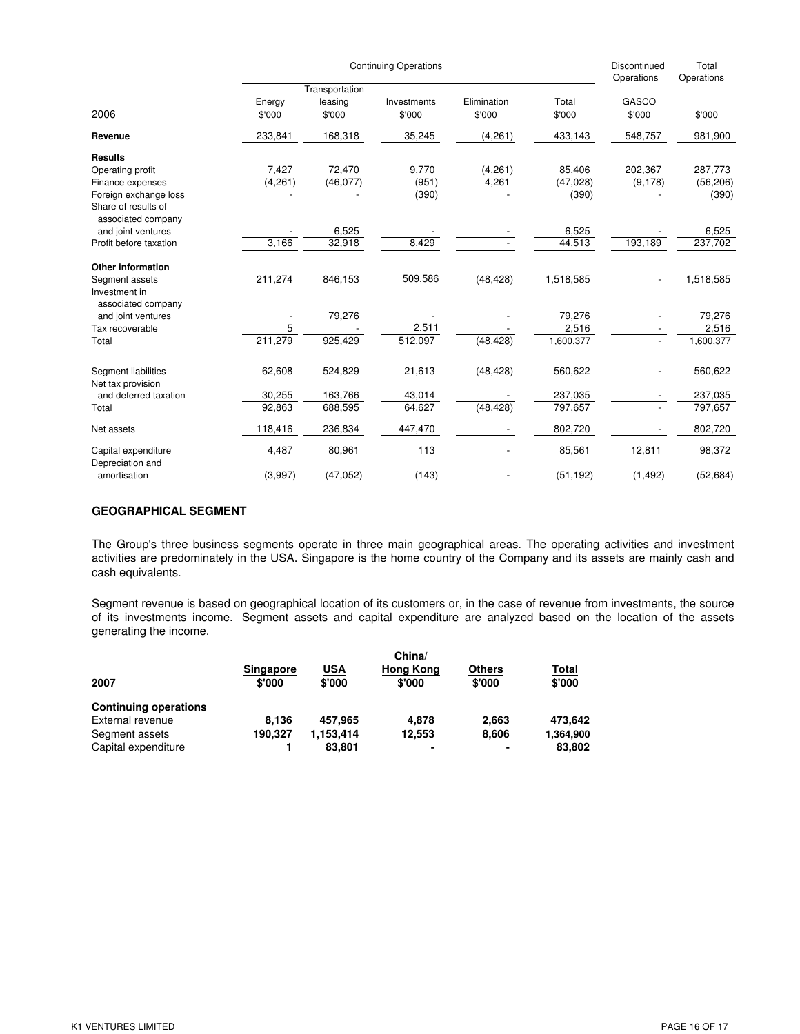|                                                                                                        | <b>Continuing Operations</b> |                                     |                         |                       |                              |                               | Total<br>Operations           |
|--------------------------------------------------------------------------------------------------------|------------------------------|-------------------------------------|-------------------------|-----------------------|------------------------------|-------------------------------|-------------------------------|
| 2006                                                                                                   | Energy<br>\$'000             | Transportation<br>leasing<br>\$'000 | Investments<br>\$'000   | Elimination<br>\$'000 | Total<br>\$'000              | Operations<br>GASCO<br>\$'000 | \$'000                        |
| Revenue                                                                                                | 233,841                      | 168,318                             | 35,245                  | (4,261)               | 433,143                      | 548,757                       | 981,900                       |
| <b>Results</b><br>Operating profit<br>Finance expenses<br>Foreign exchange loss<br>Share of results of | 7,427<br>(4,261)             | 72.470<br>(46, 077)                 | 9.770<br>(951)<br>(390) | (4,261)<br>4,261      | 85.406<br>(47, 028)<br>(390) | 202,367<br>(9, 178)           | 287.773<br>(56, 206)<br>(390) |
| associated company<br>and joint ventures<br>Profit before taxation                                     | 3,166                        | 6,525<br>32,918                     | 8,429                   |                       | 6,525<br>44,513              | 193,189                       | 6,525<br>237,702              |
| <b>Other information</b><br>Segment assets<br>Investment in                                            | 211,274                      | 846,153                             | 509,586                 | (48, 428)             | 1,518,585                    |                               | 1,518,585                     |
| associated company<br>and joint ventures<br>Tax recoverable<br>Total                                   | 5<br>211,279                 | 79,276<br>925,429                   | 2,511<br>512,097        | (48, 428)             | 79,276<br>2,516<br>1,600,377 | $\overline{\phantom{a}}$      | 79,276<br>2,516<br>1,600,377  |
| Segment liabilities<br>Net tax provision                                                               | 62,608                       | 524,829                             | 21,613                  | (48, 428)             | 560,622                      |                               | 560,622                       |
| and deferred taxation<br>Total                                                                         | 30,255<br>92,863             | 163,766<br>688,595                  | 43,014<br>64,627        | (48, 428)             | 237,035<br>797,657           | $\overline{\phantom{a}}$      | 237,035<br>797,657            |
| Net assets                                                                                             | 118,416                      | 236,834                             | 447,470                 |                       | 802,720                      |                               | 802,720                       |
| Capital expenditure<br>Depreciation and<br>amortisation                                                | 4,487<br>(3,997)             | 80,961<br>(47, 052)                 | 113<br>(143)            |                       | 85,561<br>(51, 192)          | 12,811<br>(1, 492)            | 98,372<br>(52, 684)           |

## **GEOGRAPHICAL SEGMENT**

The Group's three business segments operate in three main geographical areas. The operating activities and investment activities are predominately in the USA. Singapore is the home country of the Company and its assets are mainly cash and cash equivalents.

Segment revenue is based on geographical location of its customers or, in the case of revenue from investments, the source of its investments income. Segment assets and capital expenditure are analyzed based on the location of the assets generating the income.

|                              | China/           |           |                  |               |           |  |  |
|------------------------------|------------------|-----------|------------------|---------------|-----------|--|--|
|                              | <b>Singapore</b> | USA       | <b>Hong Kong</b> | <b>Others</b> | Total     |  |  |
| 2007                         | \$'000           | \$'000    | \$'000           | \$'000        | \$'000    |  |  |
| <b>Continuing operations</b> |                  |           |                  |               |           |  |  |
| External revenue             | 8.136            | 457.965   | 4.878            | 2.663         | 473.642   |  |  |
| Segment assets               | 190.327          | 1.153.414 | 12.553           | 8.606         | 1,364,900 |  |  |
| Capital expenditure          |                  | 83.801    | ۰                | ۰             | 83.802    |  |  |